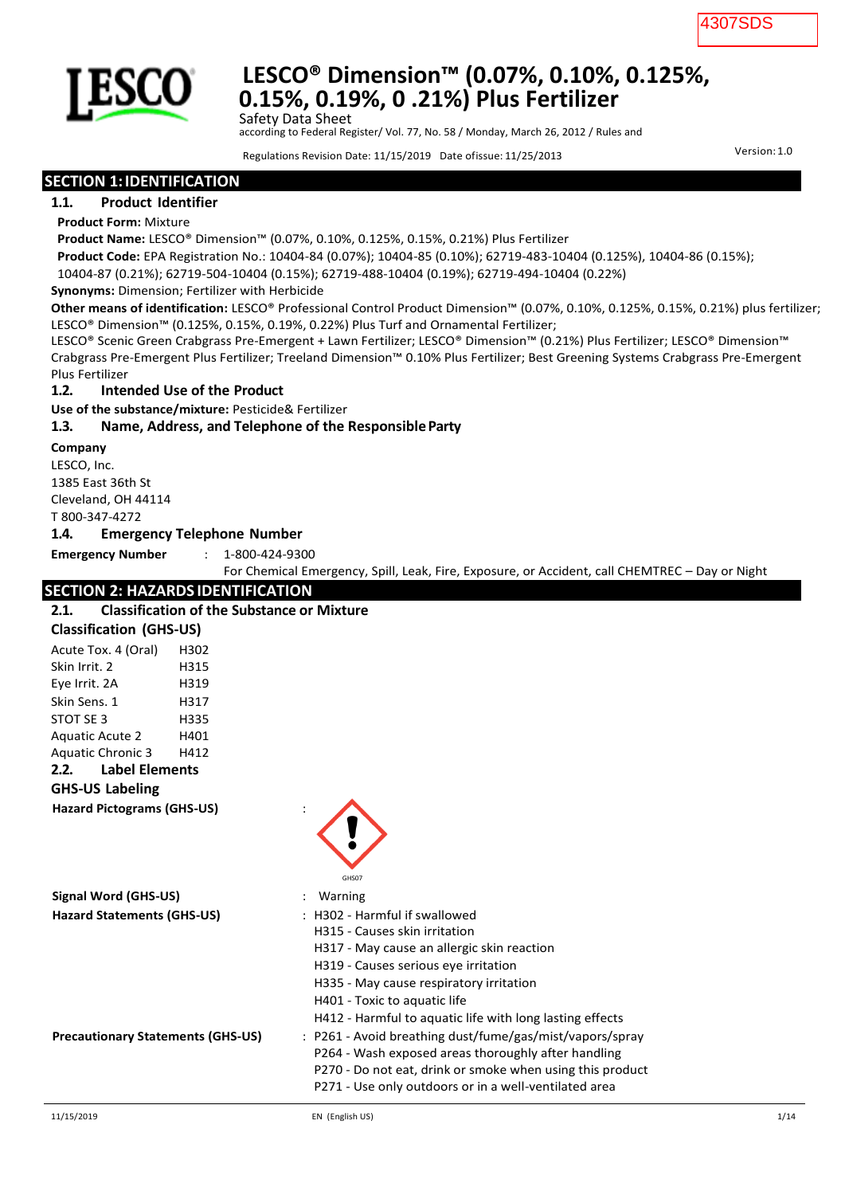

## **LESCO® Dimension™ (0.07%, 0.10%, 0.125%, 0.15%, 0.19%, 0 .21%) Plus Fertilizer** Safety Data Sheet

according to Federal Register/ Vol. 77, No. 58 / Monday, March 26, 2012 / Rules and

Regulations Revision Date: 11/15/2019 Date ofissue: 11/25/2013 Version:1.0

### **SECTION 1:IDENTIFICATION**

#### **1.1. Product Identifier**

#### **Product Form:** Mixture

**Product Name:** LESCO® Dimension™ (0.07%, 0.10%, 0.125%, 0.15%, 0.21%) Plus Fertilizer

**Product Code:** EPA Registration No.: 10404-84 (0.07%); 10404-85 (0.10%); 62719-483-10404 (0.125%), 10404-86 (0.15%);

10404-87 (0.21%); 62719-504-10404 (0.15%); 62719-488-10404 (0.19%); 62719-494-10404 (0.22%)

**Synonyms:** Dimension; Fertilizer with Herbicide

**Other means of identification:** LESCO® Professional Control Product Dimension™ (0.07%, 0.10%, 0.125%, 0.15%, 0.21%) plus fertilizer; LESCO® Dimension™ (0.125%, 0.15%, 0.19%, 0.22%) Plus Turf and Ornamental Fertilizer;

LESCO® Scenic Green Crabgrass Pre-Emergent + Lawn Fertilizer; LESCO® Dimension™ (0.21%) Plus Fertilizer; LESCO® Dimension™ Crabgrass Pre-Emergent Plus Fertilizer; Treeland Dimension™ 0.10% Plus Fertilizer; Best Greening Systems Crabgrass Pre-Emergent Plus Fertilizer

#### **1.2. Intended Use of the Product**

**Use of the substance/mixture:** Pesticide& Fertilizer

#### **1.3. Name, Address, and Telephone of the ResponsibleParty**

#### **Company**

LESCO, Inc. 1385 East 36th St Cleveland, OH 44114 T 800-347-4272

#### **1.4. Emergency Telephone Number**

**Emergency Number** : 1-800-424-9300

For Chemical Emergency, Spill, Leak, Fire, Exposure, or Accident, call CHEMTREC – Day or Night

### **SECTION 2: HAZARDS IDENTIFICATION**

| SECTION 2. HALANDS IDENTIFICATION<br><b>Classification of the Substance or Mixture</b><br>2.1. |      |                                                                                                                                                                                                                                                                                             |  |  |
|------------------------------------------------------------------------------------------------|------|---------------------------------------------------------------------------------------------------------------------------------------------------------------------------------------------------------------------------------------------------------------------------------------------|--|--|
| <b>Classification (GHS-US)</b>                                                                 |      |                                                                                                                                                                                                                                                                                             |  |  |
| Acute Tox. 4 (Oral)                                                                            | H302 |                                                                                                                                                                                                                                                                                             |  |  |
| Skin Irrit. 2                                                                                  | H315 |                                                                                                                                                                                                                                                                                             |  |  |
| Eye Irrit. 2A                                                                                  | H319 |                                                                                                                                                                                                                                                                                             |  |  |
| Skin Sens. 1                                                                                   | H317 |                                                                                                                                                                                                                                                                                             |  |  |
| STOT SE 3                                                                                      | H335 |                                                                                                                                                                                                                                                                                             |  |  |
| <b>Aquatic Acute 2</b>                                                                         | H401 |                                                                                                                                                                                                                                                                                             |  |  |
| <b>Aquatic Chronic 3</b>                                                                       | H412 |                                                                                                                                                                                                                                                                                             |  |  |
| <b>Label Elements</b><br>2.2.                                                                  |      |                                                                                                                                                                                                                                                                                             |  |  |
| <b>GHS-US Labeling</b>                                                                         |      |                                                                                                                                                                                                                                                                                             |  |  |
| <b>Hazard Pictograms (GHS-US)</b>                                                              |      | GHS07                                                                                                                                                                                                                                                                                       |  |  |
| Signal Word (GHS-US)                                                                           |      | Warning                                                                                                                                                                                                                                                                                     |  |  |
| <b>Hazard Statements (GHS-US)</b>                                                              |      | : H302 - Harmful if swallowed<br>H315 - Causes skin irritation<br>H317 - May cause an allergic skin reaction<br>H319 - Causes serious eye irritation<br>H335 - May cause respiratory irritation<br>H401 - Toxic to aquatic life<br>H412 - Harmful to aquatic life with long lasting effects |  |  |
| <b>Precautionary Statements (GHS-US)</b>                                                       |      | : P261 - Avoid breathing dust/fume/gas/mist/vapors/spray<br>P264 - Wash exposed areas thoroughly after handling<br>P270 - Do not eat, drink or smoke when using this product<br>P271 - Use only outdoors or in a well-ventilated area                                                       |  |  |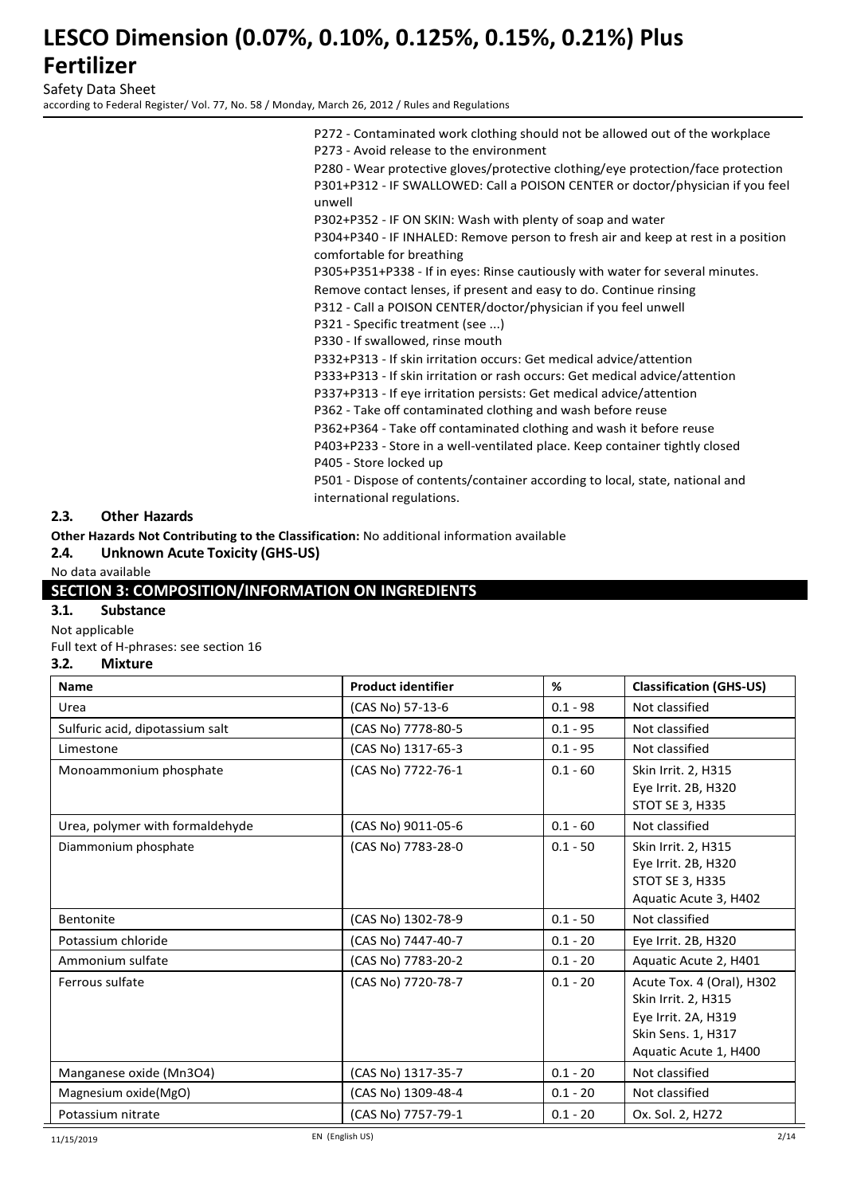Safety Data Sheet

according to Federal Register/ Vol. 77, No. 58 / Monday, March 26, 2012 / Rules and Regulations

P272 - Contaminated work clothing should not be allowed out of the workplace P273 - Avoid release to the environment

P280 - Wear protective gloves/protective clothing/eye protection/face protection P301+P312 - IF SWALLOWED: Call a POISON CENTER or doctor/physician if you feel unwell

P302+P352 - IF ON SKIN: Wash with plenty of soap and water

P304+P340 - IF INHALED: Remove person to fresh air and keep at rest in a position comfortable for breathing

P305+P351+P338 - If in eyes: Rinse cautiously with water for several minutes.

Remove contact lenses, if present and easy to do. Continue rinsing

P312 - Call a POISON CENTER/doctor/physician if you feel unwell

P321 - Specific treatment (see ...)

P330 - If swallowed, rinse mouth

P332+P313 - If skin irritation occurs: Get medical advice/attention

P333+P313 - If skin irritation or rash occurs: Get medical advice/attention

P337+P313 - If eye irritation persists: Get medical advice/attention

P362 - Take off contaminated clothing and wash before reuse

P362+P364 - Take off contaminated clothing and wash it before reuse

P403+P233 - Store in a well-ventilated place. Keep container tightly closed P405 - Store locked up

P501 - Dispose of contents/container according to local, state, national and international regulations.

#### **2.3. Other Hazards**

**Other Hazards Not Contributing to the Classification:** No additional information available

**2.4. Unknown Acute Toxicity (GHS-US)**

#### No data available

#### **SECTION 3: COMPOSITION/INFORMATION ON INGREDIENTS**

### **3.1. Substance**

Not applicable

Full text of H-phrases: see section 16

#### **3.2. Mixture**

| <b>Name</b>                     | <b>Product identifier</b> | %          | <b>Classification (GHS-US)</b>                                                                                         |
|---------------------------------|---------------------------|------------|------------------------------------------------------------------------------------------------------------------------|
| Urea                            | (CAS No) 57-13-6          | $0.1 - 98$ | Not classified                                                                                                         |
| Sulfuric acid, dipotassium salt | (CAS No) 7778-80-5        | $0.1 - 95$ | Not classified                                                                                                         |
| Limestone                       | (CAS No) 1317-65-3        | $0.1 - 95$ | Not classified                                                                                                         |
| Monoammonium phosphate          | (CAS No) 7722-76-1        | $0.1 - 60$ | Skin Irrit. 2, H315<br>Eye Irrit. 2B, H320<br>STOT SE 3, H335                                                          |
| Urea, polymer with formaldehyde | (CAS No) 9011-05-6        | $0.1 - 60$ | Not classified                                                                                                         |
| Diammonium phosphate            | (CAS No) 7783-28-0        | $0.1 - 50$ | Skin Irrit. 2, H315<br>Eye Irrit. 2B, H320<br>STOT SE 3, H335<br>Aquatic Acute 3, H402                                 |
| <b>Bentonite</b>                | (CAS No) 1302-78-9        | $0.1 - 50$ | Not classified                                                                                                         |
| Potassium chloride              | (CAS No) 7447-40-7        | $0.1 - 20$ | Eye Irrit. 2B, H320                                                                                                    |
| Ammonium sulfate                | (CAS No) 7783-20-2        | $0.1 - 20$ | Aquatic Acute 2, H401                                                                                                  |
| Ferrous sulfate                 | (CAS No) 7720-78-7        | $0.1 - 20$ | Acute Tox. 4 (Oral), H302<br>Skin Irrit. 2, H315<br>Eye Irrit. 2A, H319<br>Skin Sens. 1, H317<br>Aquatic Acute 1, H400 |
| Manganese oxide (Mn3O4)         | (CAS No) 1317-35-7        | $0.1 - 20$ | Not classified                                                                                                         |
| Magnesium oxide(MgO)            | (CAS No) 1309-48-4        | $0.1 - 20$ | Not classified                                                                                                         |
| Potassium nitrate               | (CAS No) 7757-79-1        | $0.1 - 20$ | Ox. Sol. 2, H272                                                                                                       |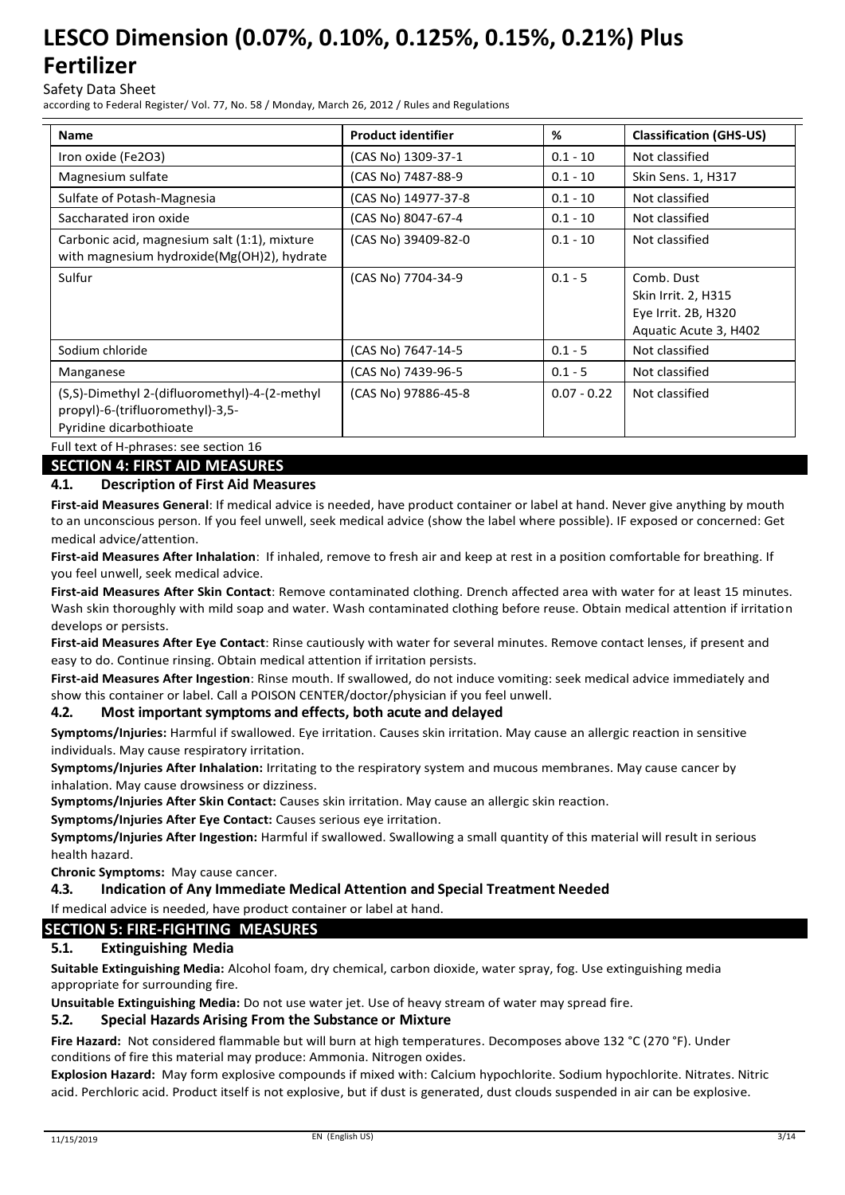### Safety Data Sheet

according to Federal Register/ Vol. 77, No. 58 / Monday, March 26, 2012 / Rules and Regulations

| <b>Name</b>                                                                                                                                                           | <b>Product identifier</b> | %             | <b>Classification (GHS-US)</b>                                                    |
|-----------------------------------------------------------------------------------------------------------------------------------------------------------------------|---------------------------|---------------|-----------------------------------------------------------------------------------|
| Iron oxide (Fe2O3)                                                                                                                                                    | (CAS No) 1309-37-1        | $0.1 - 10$    | Not classified                                                                    |
| Magnesium sulfate                                                                                                                                                     | (CAS No) 7487-88-9        | $0.1 - 10$    | Skin Sens. 1, H317                                                                |
| Sulfate of Potash-Magnesia                                                                                                                                            | (CAS No) 14977-37-8       | $0.1 - 10$    | Not classified                                                                    |
| Saccharated iron oxide                                                                                                                                                | (CAS No) 8047-67-4        | $0.1 - 10$    | Not classified                                                                    |
| Carbonic acid, magnesium salt (1:1), mixture<br>with magnesium hydroxide(Mg(OH)2), hydrate                                                                            | (CAS No) 39409-82-0       | $0.1 - 10$    | Not classified                                                                    |
| Sulfur                                                                                                                                                                | (CAS No) 7704-34-9        | $0.1 - 5$     | Comb. Dust<br>Skin Irrit. 2, H315<br>Eye Irrit. 2B, H320<br>Aquatic Acute 3, H402 |
| Sodium chloride                                                                                                                                                       | (CAS No) 7647-14-5        | $0.1 - 5$     | Not classified                                                                    |
| Manganese                                                                                                                                                             | (CAS No) 7439-96-5        | $0.1 - 5$     | Not classified                                                                    |
| (S,S)-Dimethyl 2-(difluoromethyl)-4-(2-methyl)<br>propyl)-6-(trifluoromethyl)-3,5-<br>Pyridine dicarbothioate<br>$F \cup F$ to $\uparrow$ of H phrases see section 16 | (CAS No) 97886-45-8       | $0.07 - 0.22$ | Not classified                                                                    |

Full text of H-phrases: see section **SECTION 4: FIRST AID MEASURES**

### **4.1. Description of First Aid Measures**

**First-aid Measures General**: If medical advice is needed, have product container or label at hand. Never give anything by mouth to an unconscious person. If you feel unwell, seek medical advice (show the label where possible). IF exposed or concerned: Get medical advice/attention.

**First-aid Measures After Inhalation**: If inhaled, remove to fresh air and keep at rest in a position comfortable for breathing. If you feel unwell, seek medical advice.

**First-aid Measures After Skin Contact**: Remove contaminated clothing. Drench affected area with water for at least 15 minutes. Wash skin thoroughly with mild soap and water. Wash contaminated clothing before reuse. Obtain medical attention if irritation develops or persists.

**First-aid Measures After Eye Contact**: Rinse cautiously with water for several minutes. Remove contact lenses, if present and easy to do. Continue rinsing. Obtain medical attention if irritation persists.

**First-aid Measures After Ingestion**: Rinse mouth. If swallowed, do not induce vomiting: seek medical advice immediately and show this container or label. Call a POISON CENTER/doctor/physician if you feel unwell.

#### **4.2. Most important symptoms and effects, both acute and delayed**

**Symptoms/Injuries:** Harmful if swallowed. Eye irritation. Causes skin irritation. May cause an allergic reaction in sensitive individuals. May cause respiratory irritation.

**Symptoms/Injuries After Inhalation:** Irritating to the respiratory system and mucous membranes. May cause cancer by inhalation. May cause drowsiness or dizziness.

**Symptoms/Injuries After Skin Contact:** Causes skin irritation. May cause an allergic skin reaction.

**Symptoms/Injuries After Eye Contact:** Causes serious eye irritation.

**Symptoms/Injuries After Ingestion:** Harmful if swallowed. Swallowing a small quantity of this material will result in serious health hazard.

**Chronic Symptoms:** May cause cancer.

#### **4.3. Indication of Any Immediate Medical Attention and Special Treatment Needed**

If medical advice is needed, have product container or label at hand.

#### **SECTION 5: FIRE-FIGHTING MEASURES**

#### **5.1. Extinguishing Media**

**Suitable Extinguishing Media:** Alcohol foam, dry chemical, carbon dioxide, water spray, fog. Use extinguishing media appropriate for surrounding fire.

**Unsuitable Extinguishing Media:** Do not use water jet. Use of heavy stream of water may spread fire.

#### **5.2. Special Hazards Arising From the Substance or Mixture**

**Fire Hazard:** Not considered flammable but will burn at high temperatures. Decomposes above 132 °C (270 °F). Under conditions of fire this material may produce: Ammonia. Nitrogen oxides.

**Explosion Hazard:** May form explosive compounds if mixed with: Calcium hypochlorite. Sodium hypochlorite. Nitrates. Nitric acid. Perchloric acid. Product itself is not explosive, but if dust is generated, dust clouds suspended in air can be explosive.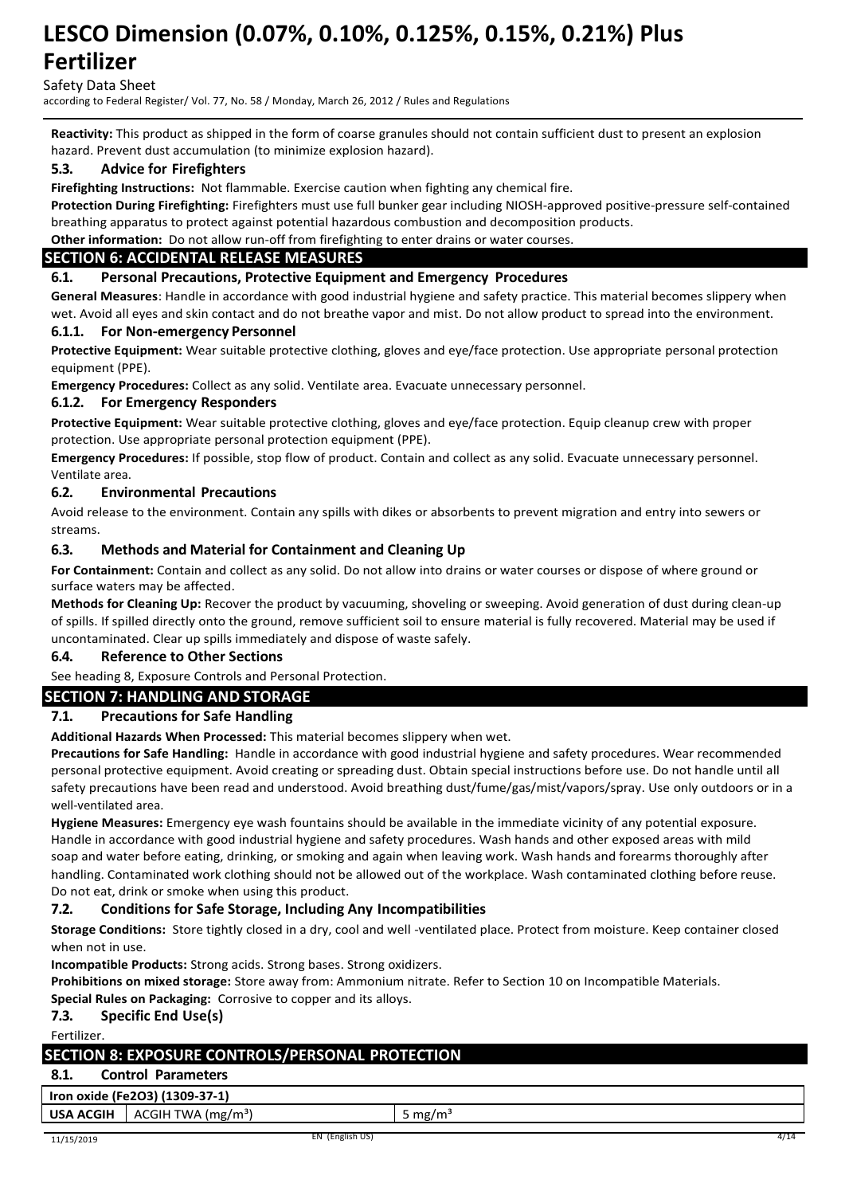Safety Data Sheet

according to Federal Register/ Vol. 77, No. 58 / Monday, March 26, 2012 / Rules and Regulations

**Reactivity:** This product as shipped in the form of coarse granules should not contain sufficient dust to present an explosion hazard. Prevent dust accumulation (to minimize explosion hazard).

### **5.3. Advice for Firefighters**

**Firefighting Instructions:** Not flammable. Exercise caution when fighting any chemical fire.

**Protection During Firefighting:** Firefighters must use full bunker gear including NIOSH-approved positive-pressure self-contained breathing apparatus to protect against potential hazardous combustion and decomposition products.

**Other information:** Do not allow run-off from firefighting to enter drains or water courses.

### **SECTION 6: ACCIDENTAL RELEASE MEASURES**

#### **6.1. Personal Precautions, Protective Equipment and Emergency Procedures**

**General Measures**: Handle in accordance with good industrial hygiene and safety practice. This material becomes slippery when wet. Avoid all eyes and skin contact and do not breathe vapor and mist. Do not allow product to spread into the environment.

#### **6.1.1. For Non-emergency Personnel**

**Protective Equipment:** Wear suitable protective clothing, gloves and eye/face protection. Use appropriate personal protection equipment (PPE).

**Emergency Procedures:** Collect as any solid. Ventilate area. Evacuate unnecessary personnel.

#### **6.1.2. For Emergency Responders**

**Protective Equipment:** Wear suitable protective clothing, gloves and eye/face protection. Equip cleanup crew with proper protection. Use appropriate personal protection equipment (PPE).

**Emergency Procedures:** If possible, stop flow of product. Contain and collect as any solid. Evacuate unnecessary personnel. Ventilate area.

#### **6.2. Environmental Precautions**

Avoid release to the environment. Contain any spills with dikes or absorbents to prevent migration and entry into sewers or streams.

#### **6.3. Methods and Material for Containment and Cleaning Up**

**For Containment:** Contain and collect as any solid. Do not allow into drains or water courses or dispose of where ground or surface waters may be affected.

**Methods for Cleaning Up:** Recover the product by vacuuming, shoveling or sweeping. Avoid generation of dust during clean-up of spills. If spilled directly onto the ground, remove sufficient soil to ensure material is fully recovered. Material may be used if uncontaminated. Clear up spills immediately and dispose of waste safely.

#### **6.4. Reference to Other Sections**

See heading 8, Exposure Controls and Personal Protection.

#### **SECTION 7: HANDLING AND STORAGE**

### **7.1. Precautions for Safe Handling**

**Additional Hazards When Processed:** This material becomes slippery when wet.

**Precautions for Safe Handling:** Handle in accordance with good industrial hygiene and safety procedures. Wear recommended personal protective equipment. Avoid creating or spreading dust. Obtain special instructions before use. Do not handle until all safety precautions have been read and understood. Avoid breathing dust/fume/gas/mist/vapors/spray. Use only outdoors or in a well-ventilated area.

**Hygiene Measures:** Emergency eye wash fountains should be available in the immediate vicinity of any potential exposure. Handle in accordance with good industrial hygiene and safety procedures. Wash hands and other exposed areas with mild soap and water before eating, drinking, or smoking and again when leaving work. Wash hands and forearms thoroughly after handling. Contaminated work clothing should not be allowed out of the workplace. Wash contaminated clothing before reuse. Do not eat, drink or smoke when using this product.

#### **7.2. Conditions for Safe Storage, Including Any Incompatibilities**

**Storage Conditions:** Store tightly closed in a dry, cool and well -ventilated place. Protect from moisture. Keep container closed when not in use.

**Incompatible Products:** Strong acids. Strong bases. Strong oxidizers.

**Prohibitions on mixed storage:** Store away from: Ammonium nitrate. Refer to Section 10 on Incompatible Materials.

**Special Rules on Packaging:** Corrosive to copper and its alloys.

#### **7.3. Specific End Use(s)**

Fertilizer.

### **SECTION 8: EXPOSURE CONTROLS/PERSONAL PROTECTION**

### **8.1. Control Parameters**

**Iron oxide (Fe2O3) (1309-37-1)**

**USA ACGIH** ACGIH TWA (mg/m<sup>3</sup>) 5 mg/m<sup>3</sup>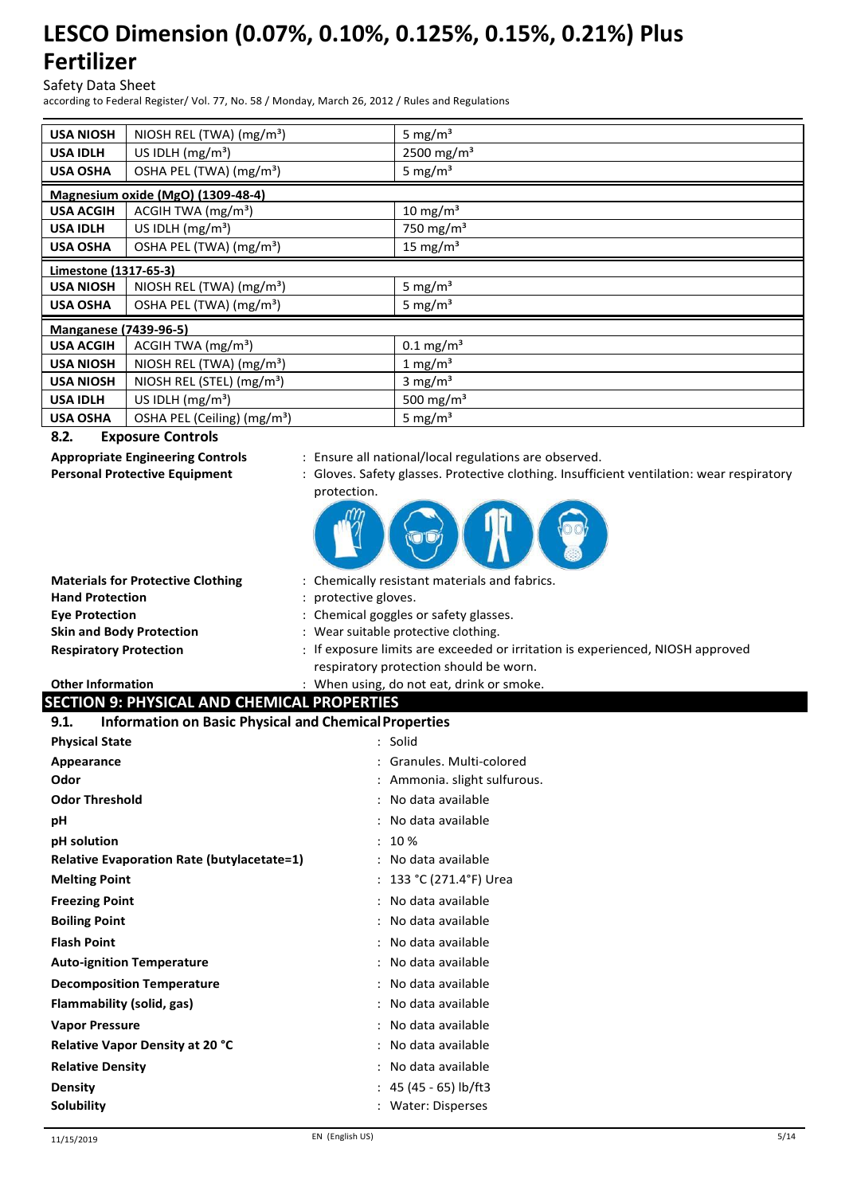Safety Data Sheet

according to Federal Register/ Vol. 77, No. 58 / Monday, March 26, 2012 / Rules and Regulations

| <b>USA NIOSH</b>             | NIOSH REL (TWA) $(mg/m3)$               | 5 mg/ $m3$             |  |
|------------------------------|-----------------------------------------|------------------------|--|
| <b>USA IDLH</b>              | US IDLH $(mg/m3)$                       | 2500 mg/m <sup>3</sup> |  |
| <b>USA OSHA</b>              | OSHA PEL (TWA) (mg/m <sup>3</sup> )     | 5 mg/ $m3$             |  |
|                              | Magnesium oxide (MgO) (1309-48-4)       |                        |  |
| <b>USA ACGIH</b>             | ACGIH TWA $(mg/m3)$                     | 10 mg/m $3$            |  |
| <b>USA IDLH</b>              | US IDLH $(mg/m3)$                       | 750 mg/m <sup>3</sup>  |  |
| <b>USA OSHA</b>              | OSHA PEL (TWA) (mg/m <sup>3</sup> )     | 15 mg/m <sup>3</sup>   |  |
|                              | Limestone (1317-65-3)                   |                        |  |
| <b>USA NIOSH</b>             | NIOSH REL (TWA) (mg/m <sup>3</sup> )    | 5 mg/ $m3$             |  |
| <b>USA OSHA</b>              | OSHA PEL (TWA) (mg/m <sup>3</sup> )     | 5 mg/ $m3$             |  |
| <b>Manganese (7439-96-5)</b> |                                         |                        |  |
| <b>USA ACGIH</b>             | $ACGIH TWA$ (mg/m <sup>3</sup> )        | $0.1 \text{ mg/m}^3$   |  |
| <b>USA NIOSH</b>             | NIOSH REL (TWA) (mg/m <sup>3</sup> )    | 1 mg/m <sup>3</sup>    |  |
| <b>USA NIOSH</b>             | NIOSH REL (STEL) (mg/m <sup>3</sup> )   | 3 mg/ $m3$             |  |
| <b>USA IDLH</b>              | US IDLH $(mg/m3)$                       | 500 mg/m <sup>3</sup>  |  |
| <b>USA OSHA</b>              | OSHA PEL (Ceiling) (mg/m <sup>3</sup> ) | 5 mg/ $m3$             |  |

#### **8.2. Exposure Controls**

- **Appropriate Engineering Controls** : Ensure all national/local regulations are observed.
- **Personal Protective Equipment** : Gloves. Safety glasses. Protective clothing. Insufficient ventilation: wear respiratory protection.



| : Chemically resistant materials and fabrics.                                                                            |
|--------------------------------------------------------------------------------------------------------------------------|
| : protective gloves.                                                                                                     |
| : Chemical goggles or safety glasses.                                                                                    |
| : Wear suitable protective clothing.                                                                                     |
| : If exposure limits are exceeded or irritation is experienced, NIOSH approved<br>respiratory protection should be worn. |
|                                                                                                                          |

#### **Other Information** : When using, do not eat, drink or smoke.<br> **SECTION OF PENSION AND CURVION DEMONSION SECTION 9: PHYSICAL AND CHEMICAL PROPERTIES**

|           | SECTION 9. FIITSICAL AND CHEMICAL FINOFENTIES.    |  |
|-----------|---------------------------------------------------|--|
| <b>01</b> | Information on Bosis Bhusical and Chamical Bronou |  |

| <b>Information on Basic Physical and Chemical Properties</b><br>9.1. |                            |  |
|----------------------------------------------------------------------|----------------------------|--|
| <b>Physical State</b>                                                | : Solid                    |  |
| Appearance                                                           | : Granules, Multi-colored  |  |
| Odor                                                                 | Ammonia. slight sulfurous. |  |
| <b>Odor Threshold</b>                                                | : No data available        |  |
| рH                                                                   | : No data available        |  |
| pH solution                                                          | 10 %                       |  |
| <b>Relative Evaporation Rate (butylacetate=1)</b>                    | No data available          |  |
| <b>Melting Point</b>                                                 | 133 °C (271.4°F) Urea      |  |
| <b>Freezing Point</b>                                                | No data available          |  |
| <b>Boiling Point</b>                                                 | : No data available        |  |
| <b>Flash Point</b>                                                   | : No data available        |  |
| <b>Auto-ignition Temperature</b>                                     | : No data available        |  |
| <b>Decomposition Temperature</b>                                     | : No data available        |  |
| Flammability (solid, gas)                                            | No data available          |  |
| <b>Vapor Pressure</b>                                                | No data available          |  |
| <b>Relative Vapor Density at 20 °C</b>                               | No data available          |  |
| <b>Relative Density</b>                                              | No data available          |  |
| <b>Density</b>                                                       | : 45 (45 - 65) lb/ft3      |  |
| <b>Solubility</b>                                                    | Water: Disperses           |  |
|                                                                      |                            |  |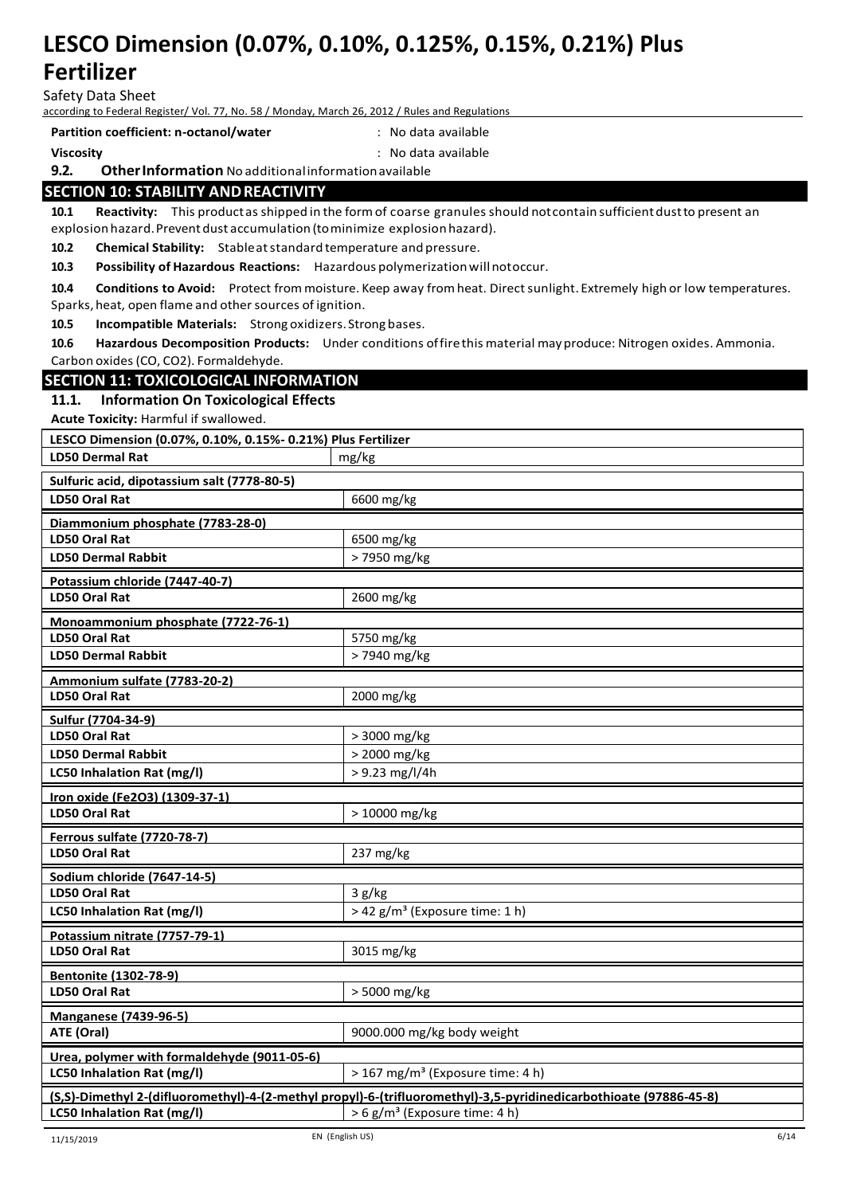Safety Data Sheet

according to Federal Register/ Vol. 77, No. 58 / Monday, March 26, 2012 / Rules and Regulations

**Partition coefficient: n-octanol/water** : No data available

**Viscosity** : No data available

#### **9.2. OtherInformation** No additionalinformationavailable

#### **SECTION 10: STABILITY ANDREACTIVITY**

10.1 Reactivity: This productas shipped in the form of coarse granules should not contain sufficient dust to present an explosion hazard. Prevent dust accumulation (to minimize explosion hazard).

**10.2 Chemical Stability:** Stableatstandard temperature and pressure.

**10.3 Possibility of Hazardous Reactions:** Hazardous polymerizationwillnotoccur.

**10.4 Conditions to Avoid:** Protect frommoisture. Keep away fromheat. Directsunlight. Extremely high or low temperatures. Sparks, heat, open flame and other sources of ignition.

**10.5 Incompatible Materials:** Strong oxidizers. Strong bases.

**10.6 Hazardous Decomposition Products:** Under conditions offirethis material mayproduce: Nitrogen oxides. Ammonia. Carbon oxides(CO, CO2). Formaldehyde.

#### **SECTION 11: TOXICOLOGICAL INFORMATION**

#### **11.1. Information On Toxicological Effects**

**Acute Toxicity:** Harmful if swallowed.

| LESCO Dimension (0.07%, 0.10%, 0.15%- 0.21%) Plus Fertilizer |                                                                                                                                                                |  |
|--------------------------------------------------------------|----------------------------------------------------------------------------------------------------------------------------------------------------------------|--|
| <b>LD50 Dermal Rat</b>                                       | mg/kg                                                                                                                                                          |  |
| Sulfuric acid, dipotassium salt (7778-80-5)                  |                                                                                                                                                                |  |
| <b>LD50 Oral Rat</b>                                         | 6600 mg/kg                                                                                                                                                     |  |
| Diammonium phosphate (7783-28-0)                             |                                                                                                                                                                |  |
| <b>LD50 Oral Rat</b>                                         | 6500 mg/kg                                                                                                                                                     |  |
| <b>LD50 Dermal Rabbit</b>                                    | > 7950 mg/kg                                                                                                                                                   |  |
| Potassium chloride (7447-40-7)                               |                                                                                                                                                                |  |
| <b>LD50 Oral Rat</b>                                         | 2600 mg/kg                                                                                                                                                     |  |
| Monoammonium phosphate (7722-76-1)                           |                                                                                                                                                                |  |
| <b>LD50 Oral Rat</b>                                         | 5750 mg/kg                                                                                                                                                     |  |
| <b>LD50 Dermal Rabbit</b>                                    | > 7940 mg/kg                                                                                                                                                   |  |
| Ammonium sulfate (7783-20-2)                                 |                                                                                                                                                                |  |
| <b>LD50 Oral Rat</b>                                         | 2000 mg/kg                                                                                                                                                     |  |
| Sulfur (7704-34-9)                                           |                                                                                                                                                                |  |
| <b>LD50 Oral Rat</b>                                         | > 3000 mg/kg                                                                                                                                                   |  |
| <b>LD50 Dermal Rabbit</b>                                    | > 2000 mg/kg                                                                                                                                                   |  |
| LC50 Inhalation Rat (mg/l)                                   | $> 9.23$ mg/l/4h                                                                                                                                               |  |
| Iron oxide (Fe2O3) (1309-37-1)                               |                                                                                                                                                                |  |
|                                                              |                                                                                                                                                                |  |
| <b>LD50 Oral Rat</b>                                         | > 10000 mg/kg                                                                                                                                                  |  |
| <b>Ferrous sulfate (7720-78-7)</b>                           |                                                                                                                                                                |  |
| <b>LD50 Oral Rat</b>                                         | 237 mg/kg                                                                                                                                                      |  |
| Sodium chloride (7647-14-5)                                  |                                                                                                                                                                |  |
| LD50 Oral Rat                                                | 3 g/kg                                                                                                                                                         |  |
| LC50 Inhalation Rat (mg/l)                                   | > 42 g/m <sup>3</sup> (Exposure time: 1 h)                                                                                                                     |  |
| Potassium nitrate (7757-79-1)                                |                                                                                                                                                                |  |
| <b>LD50 Oral Rat</b>                                         | 3015 mg/kg                                                                                                                                                     |  |
| <b>Bentonite (1302-78-9)</b>                                 |                                                                                                                                                                |  |
| <b>LD50 Oral Rat</b>                                         | > 5000 mg/kg                                                                                                                                                   |  |
| <b>Manganese (7439-96-5)</b>                                 |                                                                                                                                                                |  |
| ATE (Oral)                                                   | 9000.000 mg/kg body weight                                                                                                                                     |  |
| Urea, polymer with formaldehyde (9011-05-6)                  |                                                                                                                                                                |  |
| LC50 Inhalation Rat (mg/l)                                   | > 167 mg/m <sup>3</sup> (Exposure time: 4 h)                                                                                                                   |  |
| LC50 Inhalation Rat (mg/l)                                   | (S,S)-Dimethyl 2-(difluoromethyl)-4-(2-methyl propyl)-6-(trifluoromethyl)-3,5-pyridinedicarbothioate (97886-45-8)<br>> 6 g/m <sup>3</sup> (Exposure time: 4 h) |  |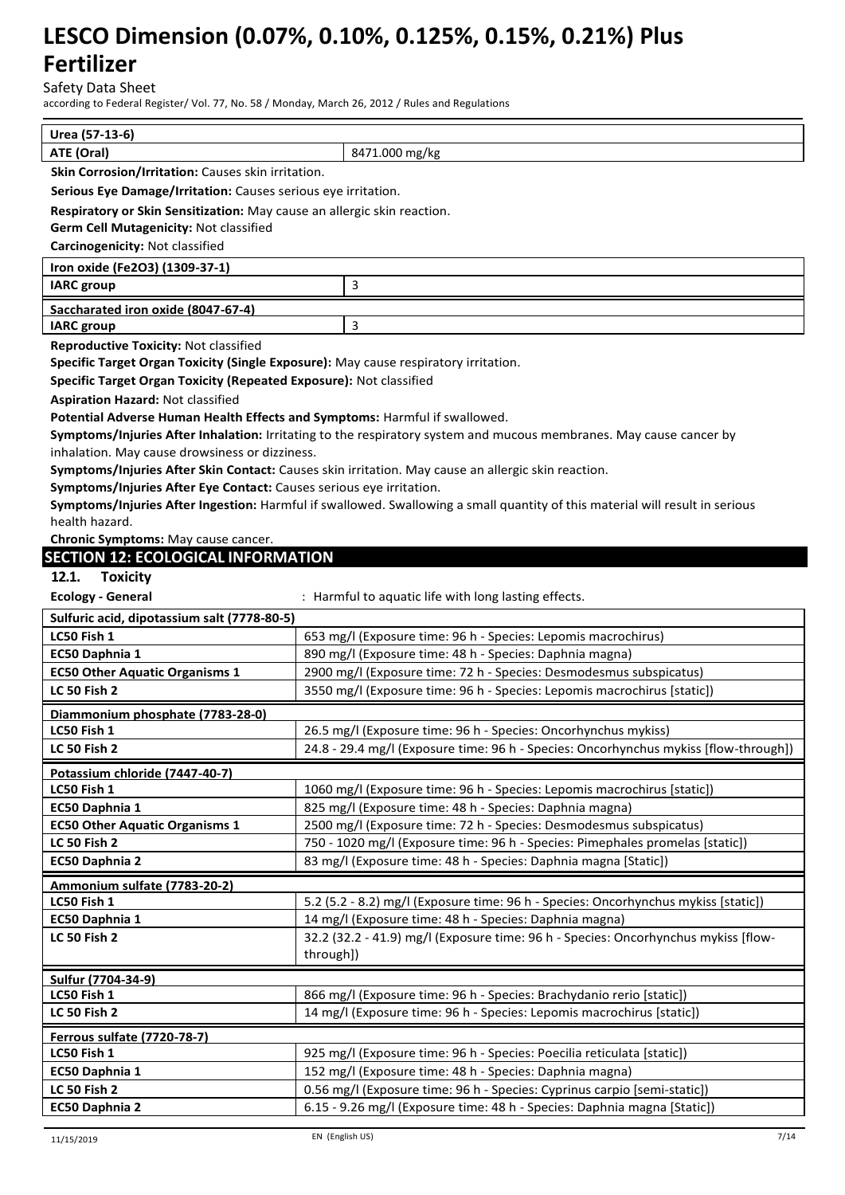Safety Data Sheet

according to Federal Register/ Vol. 77, No. 58 / Monday, March 26, 2012 / Rules and Regulations

| Urea (57-13-6)                                                                      |                                                                                                                                                      |  |  |
|-------------------------------------------------------------------------------------|------------------------------------------------------------------------------------------------------------------------------------------------------|--|--|
| ATE (Oral)                                                                          | 8471.000 mg/kg                                                                                                                                       |  |  |
| Skin Corrosion/Irritation: Causes skin irritation.                                  |                                                                                                                                                      |  |  |
| Serious Eye Damage/Irritation: Causes serious eye irritation.                       |                                                                                                                                                      |  |  |
| Respiratory or Skin Sensitization: May cause an allergic skin reaction.             |                                                                                                                                                      |  |  |
| Germ Cell Mutagenicity: Not classified                                              |                                                                                                                                                      |  |  |
| Carcinogenicity: Not classified                                                     |                                                                                                                                                      |  |  |
| Iron oxide (Fe2O3) (1309-37-1)                                                      |                                                                                                                                                      |  |  |
| <b>IARC</b> group                                                                   | 3                                                                                                                                                    |  |  |
| Saccharated iron oxide (8047-67-4)                                                  |                                                                                                                                                      |  |  |
| <b>IARC</b> group                                                                   | 3                                                                                                                                                    |  |  |
| <b>Reproductive Toxicity: Not classified</b>                                        |                                                                                                                                                      |  |  |
| Specific Target Organ Toxicity (Single Exposure): May cause respiratory irritation. |                                                                                                                                                      |  |  |
| Specific Target Organ Toxicity (Repeated Exposure): Not classified                  |                                                                                                                                                      |  |  |
| <b>Aspiration Hazard: Not classified</b>                                            |                                                                                                                                                      |  |  |
| Potential Adverse Human Health Effects and Symptoms: Harmful if swallowed.          |                                                                                                                                                      |  |  |
|                                                                                     | Symptoms/Injuries After Inhalation: Irritating to the respiratory system and mucous membranes. May cause cancer by                                   |  |  |
| inhalation. May cause drowsiness or dizziness.                                      |                                                                                                                                                      |  |  |
|                                                                                     | Symptoms/Injuries After Skin Contact: Causes skin irritation. May cause an allergic skin reaction.                                                   |  |  |
| Symptoms/Injuries After Eye Contact: Causes serious eye irritation.                 |                                                                                                                                                      |  |  |
|                                                                                     | Symptoms/Injuries After Ingestion: Harmful if swallowed. Swallowing a small quantity of this material will result in serious                         |  |  |
| health hazard.                                                                      |                                                                                                                                                      |  |  |
| Chronic Symptoms: May cause cancer.                                                 |                                                                                                                                                      |  |  |
| <b>SECTION 12: ECOLOGICAL INFORMATION</b>                                           |                                                                                                                                                      |  |  |
| 12.1.<br><b>Toxicity</b>                                                            |                                                                                                                                                      |  |  |
| <b>Ecology - General</b>                                                            | : Harmful to aquatic life with long lasting effects.                                                                                                 |  |  |
| Sulfuric acid, dipotassium salt (7778-80-5)                                         |                                                                                                                                                      |  |  |
| LC50 Fish 1                                                                         | 653 mg/l (Exposure time: 96 h - Species: Lepomis macrochirus)                                                                                        |  |  |
| EC50 Daphnia 1                                                                      | 890 mg/l (Exposure time: 48 h - Species: Daphnia magna)                                                                                              |  |  |
| <b>EC50 Other Aquatic Organisms 1</b><br><b>LC 50 Fish 2</b>                        | 2900 mg/l (Exposure time: 72 h - Species: Desmodesmus subspicatus)<br>3550 mg/l (Exposure time: 96 h - Species: Lepomis macrochirus [static])        |  |  |
|                                                                                     |                                                                                                                                                      |  |  |
| Diammonium phosphate (7783-28-0)                                                    |                                                                                                                                                      |  |  |
| LC50 Fish 1                                                                         | 26.5 mg/l (Exposure time: 96 h - Species: Oncorhynchus mykiss)                                                                                       |  |  |
| <b>LC 50 Fish 2</b>                                                                 | 24.8 - 29.4 mg/l (Exposure time: 96 h - Species: Oncorhynchus mykiss [flow-through])                                                                 |  |  |
| Potassium chloride (7447-40-7)                                                      |                                                                                                                                                      |  |  |
| LC50 Fish 1                                                                         | 1060 mg/l (Exposure time: 96 h - Species: Lepomis macrochirus [static])                                                                              |  |  |
| EC50 Daphnia 1                                                                      | 825 mg/l (Exposure time: 48 h - Species: Daphnia magna)                                                                                              |  |  |
| <b>EC50 Other Aquatic Organisms 1</b><br>LC 50 Fish 2                               | 2500 mg/l (Exposure time: 72 h - Species: Desmodesmus subspicatus)<br>750 - 1020 mg/l (Exposure time: 96 h - Species: Pimephales promelas [static])  |  |  |
| EC50 Daphnia 2                                                                      | 83 mg/l (Exposure time: 48 h - Species: Daphnia magna [Static])                                                                                      |  |  |
|                                                                                     |                                                                                                                                                      |  |  |
| Ammonium sulfate (7783-20-2)                                                        |                                                                                                                                                      |  |  |
| LC50 Fish 1                                                                         | 5.2 (5.2 - 8.2) mg/l (Exposure time: 96 h - Species: Oncorhynchus mykiss [static])                                                                   |  |  |
| EC50 Daphnia 1<br><b>LC 50 Fish 2</b>                                               | 14 mg/l (Exposure time: 48 h - Species: Daphnia magna)<br>32.2 (32.2 - 41.9) mg/l (Exposure time: 96 h - Species: Oncorhynchus mykiss [flow-         |  |  |
|                                                                                     | through])                                                                                                                                            |  |  |
|                                                                                     |                                                                                                                                                      |  |  |
| Sulfur (7704-34-9)                                                                  |                                                                                                                                                      |  |  |
| LC50 Fish 1                                                                         | 866 mg/l (Exposure time: 96 h - Species: Brachydanio rerio [static])                                                                                 |  |  |
| LC 50 Fish 2                                                                        | 14 mg/l (Exposure time: 96 h - Species: Lepomis macrochirus [static])                                                                                |  |  |
| Ferrous sulfate (7720-78-7)                                                         |                                                                                                                                                      |  |  |
| LC50 Fish 1                                                                         | 925 mg/l (Exposure time: 96 h - Species: Poecilia reticulata [static])                                                                               |  |  |
| EC50 Daphnia 1                                                                      | 152 mg/l (Exposure time: 48 h - Species: Daphnia magna)                                                                                              |  |  |
| <b>LC 50 Fish 2</b><br>EC50 Daphnia 2                                               | 0.56 mg/l (Exposure time: 96 h - Species: Cyprinus carpio [semi-static])<br>6.15 - 9.26 mg/l (Exposure time: 48 h - Species: Daphnia magna [Static]) |  |  |
|                                                                                     |                                                                                                                                                      |  |  |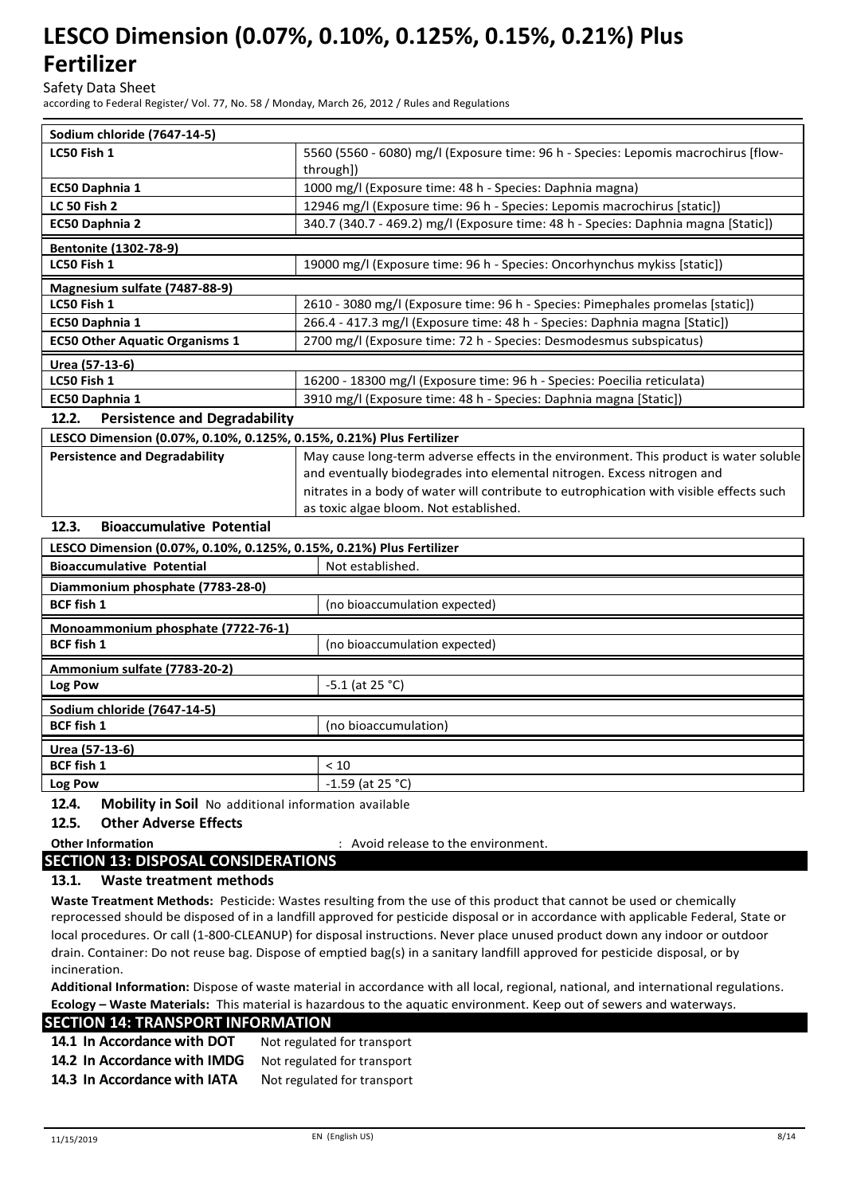Safety Data Sheet

according to Federal Register/ Vol. 77, No. 58 / Monday, March 26, 2012 / Rules and Regulations

| Sodium chloride (7647-14-5)                                          |                                                                                         |  |
|----------------------------------------------------------------------|-----------------------------------------------------------------------------------------|--|
| LC50 Fish 1                                                          | 5560 (5560 - 6080) mg/l (Exposure time: 96 h - Species: Lepomis macrochirus [flow-      |  |
|                                                                      | through])                                                                               |  |
| EC50 Daphnia 1                                                       | 1000 mg/l (Exposure time: 48 h - Species: Daphnia magna)                                |  |
| <b>LC 50 Fish 2</b>                                                  | 12946 mg/l (Exposure time: 96 h - Species: Lepomis macrochirus [static])                |  |
| <b>EC50 Daphnia 2</b>                                                | 340.7 (340.7 - 469.2) mg/l (Exposure time: 48 h - Species: Daphnia magna [Static])      |  |
| <b>Bentonite (1302-78-9)</b>                                         |                                                                                         |  |
| LC50 Fish 1                                                          | 19000 mg/l (Exposure time: 96 h - Species: Oncorhynchus mykiss [static])                |  |
| Magnesium sulfate (7487-88-9)                                        |                                                                                         |  |
| LC50 Fish 1                                                          | 2610 - 3080 mg/l (Exposure time: 96 h - Species: Pimephales promelas [static])          |  |
| EC50 Daphnia 1                                                       | 266.4 - 417.3 mg/l (Exposure time: 48 h - Species: Daphnia magna [Static])              |  |
| <b>EC50 Other Aquatic Organisms 1</b>                                | 2700 mg/l (Exposure time: 72 h - Species: Desmodesmus subspicatus)                      |  |
| Urea (57-13-6)                                                       |                                                                                         |  |
| LC50 Fish 1                                                          | 16200 - 18300 mg/l (Exposure time: 96 h - Species: Poecilia reticulata)                 |  |
| EC50 Daphnia 1                                                       | 3910 mg/l (Exposure time: 48 h - Species: Daphnia magna [Static])                       |  |
| <b>Persistence and Degradability</b><br>12.2.                        |                                                                                         |  |
| LESCO Dimension (0.07%, 0.10%, 0.125%, 0.15%, 0.21%) Plus Fertilizer |                                                                                         |  |
| <b>Persistence and Degradability</b>                                 | May cause long-term adverse effects in the environment. This product is water soluble   |  |
|                                                                      | and eventually biodegrades into elemental nitrogen. Excess nitrogen and                 |  |
|                                                                      | nitrates in a body of water will contribute to eutrophication with visible effects such |  |
|                                                                      | as toxic algae bloom. Not established.                                                  |  |
| 12.3.<br><b>Bioaccumulative Potential</b>                            |                                                                                         |  |

### **LESCO Dimension (0.07%, 0.10%, 0.125%, 0.15%, 0.21%) Plus Fertilizer Bioaccumulative Potential Microsoft Except Analysis Potential** Not established. **Diammonium phosphate (7783-28-0) BCF fish 1** (no bioaccumulation expected) **Monoammonium phosphate (7722-76-1) BCF fish 1** (no bioaccumulation expected) **Ammonium sulfate (7783-20-2) Log Pow**  $-5.1$  (at 25 °C) **Sodium chloride (7647-14-5) BCF fish 1** (no bioaccumulation) **Urea (57-13-6) BCF fish 1** < 10 **Log Pow**  $\vert$  -1.59 (at 25 °C)

**12.4. Mobility in Soil** No additional information available

### **12.5. Other Adverse Effects**

**Other Information 1988 CONSIDER 1989 CONSIDER 1999 CONSIDER 1999 CONSIDER 1999 CONSIDER 1999 CONSIDER 1999 CONSIDER 1999 CONSIDER 1999 CONSIDER 1999 CONSIDER 1999 CONSIDER 1999 CONSIDER 1999 CO** 

### **SECTION 13: DISPOSAL CONSIDERATIONS**

#### **13.1. Waste treatment methods**

**Waste Treatment Methods:** Pesticide: Wastes resulting from the use of this product that cannot be used or chemically reprocessed should be disposed of in a landfill approved for pesticide disposal or in accordance with applicable Federal, State or local procedures. Or call (1-800-CLEANUP) for disposal instructions. Never place unused product down any indoor or outdoor drain. Container: Do not reuse bag. Dispose of emptied bag(s) in a sanitary landfill approved for pesticide disposal, or by incineration.

**Additional Information:** Dispose of waste material in accordance with all local, regional, national, and international regulations. **Ecology – Waste Materials:** This material is hazardous to the aquatic environment. Keep out of sewers and waterways.

#### **SECTION 14: TRANSPORT INFORMATION**

| 14.1 In Accordance with DOT  | Not regulated for transport |
|------------------------------|-----------------------------|
| 14.2 In Accordance with IMDG | Not regulated for transport |
| 14.3 In Accordance with IATA | Not regulated for transport |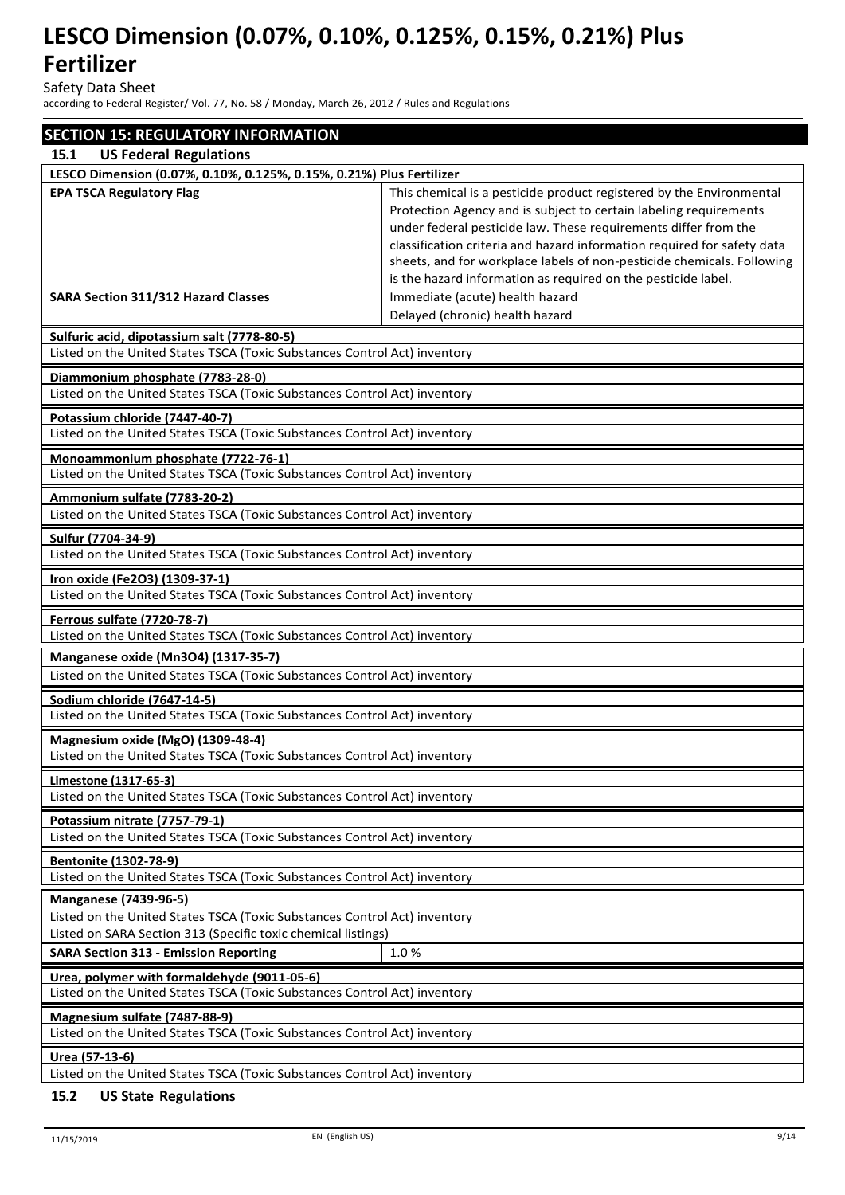Safety Data Sheet

according to Federal Register/ Vol. 77, No. 58 / Monday, March 26, 2012 / Rules and Regulations

| <b>SECTION 15: REGULATORY INFORMATION</b>                                                                       |                                                                                                                  |  |  |
|-----------------------------------------------------------------------------------------------------------------|------------------------------------------------------------------------------------------------------------------|--|--|
| 15.1<br><b>US Federal Regulations</b>                                                                           |                                                                                                                  |  |  |
| LESCO Dimension (0.07%, 0.10%, 0.125%, 0.15%, 0.21%) Plus Fertilizer                                            |                                                                                                                  |  |  |
| <b>EPA TSCA Regulatory Flag</b>                                                                                 | This chemical is a pesticide product registered by the Environmental                                             |  |  |
|                                                                                                                 | Protection Agency and is subject to certain labeling requirements                                                |  |  |
|                                                                                                                 | under federal pesticide law. These requirements differ from the                                                  |  |  |
|                                                                                                                 | classification criteria and hazard information required for safety data                                          |  |  |
|                                                                                                                 | sheets, and for workplace labels of non-pesticide chemicals. Following                                           |  |  |
|                                                                                                                 | is the hazard information as required on the pesticide label.                                                    |  |  |
| <b>SARA Section 311/312 Hazard Classes</b>                                                                      | Immediate (acute) health hazard                                                                                  |  |  |
|                                                                                                                 | Delayed (chronic) health hazard                                                                                  |  |  |
| Sulfuric acid, dipotassium salt (7778-80-5)                                                                     |                                                                                                                  |  |  |
| Listed on the United States TSCA (Toxic Substances Control Act) inventory                                       |                                                                                                                  |  |  |
| Diammonium phosphate (7783-28-0)                                                                                |                                                                                                                  |  |  |
| Listed on the United States TSCA (Toxic Substances Control Act) inventory                                       |                                                                                                                  |  |  |
| Potassium chloride (7447-40-7)                                                                                  |                                                                                                                  |  |  |
| Listed on the United States TSCA (Toxic Substances Control Act) inventory                                       |                                                                                                                  |  |  |
|                                                                                                                 |                                                                                                                  |  |  |
| Monoammonium phosphate (7722-76-1)<br>Listed on the United States TSCA (Toxic Substances Control Act) inventory |                                                                                                                  |  |  |
|                                                                                                                 |                                                                                                                  |  |  |
| Ammonium sulfate (7783-20-2)                                                                                    |                                                                                                                  |  |  |
| Listed on the United States TSCA (Toxic Substances Control Act) inventory                                       |                                                                                                                  |  |  |
| Sulfur (7704-34-9)                                                                                              |                                                                                                                  |  |  |
| Listed on the United States TSCA (Toxic Substances Control Act) inventory                                       |                                                                                                                  |  |  |
| Iron oxide (Fe2O3) (1309-37-1)                                                                                  |                                                                                                                  |  |  |
| Listed on the United States TSCA (Toxic Substances Control Act) inventory                                       |                                                                                                                  |  |  |
| <b>Ferrous sulfate (7720-78-7)</b>                                                                              |                                                                                                                  |  |  |
| Listed on the United States TSCA (Toxic Substances Control Act) inventory                                       |                                                                                                                  |  |  |
|                                                                                                                 |                                                                                                                  |  |  |
|                                                                                                                 | Manganese oxide (Mn3O4) (1317-35-7)<br>Listed on the United States TSCA (Toxic Substances Control Act) inventory |  |  |
|                                                                                                                 |                                                                                                                  |  |  |
| Sodium chloride (7647-14-5)                                                                                     |                                                                                                                  |  |  |
| Listed on the United States TSCA (Toxic Substances Control Act) inventory                                       |                                                                                                                  |  |  |
| Magnesium oxide (MgO) (1309-48-4)                                                                               |                                                                                                                  |  |  |
| Listed on the United States TSCA (Toxic Substances Control Act) inventory                                       |                                                                                                                  |  |  |
| Limestone (1317-65-3)                                                                                           |                                                                                                                  |  |  |
| Listed on the United States TSCA (Toxic Substances Control Act) inventory                                       |                                                                                                                  |  |  |
| Potassium nitrate (7757-79-1)                                                                                   |                                                                                                                  |  |  |
| Listed on the United States TSCA (Toxic Substances Control Act) inventory                                       |                                                                                                                  |  |  |
|                                                                                                                 |                                                                                                                  |  |  |
| Bentonite (1302-78-9)<br>Listed on the United States TSCA (Toxic Substances Control Act) inventory              |                                                                                                                  |  |  |
|                                                                                                                 |                                                                                                                  |  |  |
| <b>Manganese (7439-96-5)</b>                                                                                    |                                                                                                                  |  |  |
| Listed on the United States TSCA (Toxic Substances Control Act) inventory                                       |                                                                                                                  |  |  |
| Listed on SARA Section 313 (Specific toxic chemical listings)                                                   |                                                                                                                  |  |  |
| <b>SARA Section 313 - Emission Reporting</b>                                                                    | 1.0%                                                                                                             |  |  |
| Urea, polymer with formaldehyde (9011-05-6)                                                                     |                                                                                                                  |  |  |
|                                                                                                                 | Listed on the United States TSCA (Toxic Substances Control Act) inventory                                        |  |  |
| Magnesium sulfate (7487-88-9)                                                                                   |                                                                                                                  |  |  |
| Listed on the United States TSCA (Toxic Substances Control Act) inventory                                       |                                                                                                                  |  |  |
| <u> Urea (57-13-6)</u>                                                                                          |                                                                                                                  |  |  |
| Listed on the United States TSCA (Toxic Substances Control Act) inventory                                       |                                                                                                                  |  |  |
|                                                                                                                 |                                                                                                                  |  |  |

#### **15.2 US State Regulations**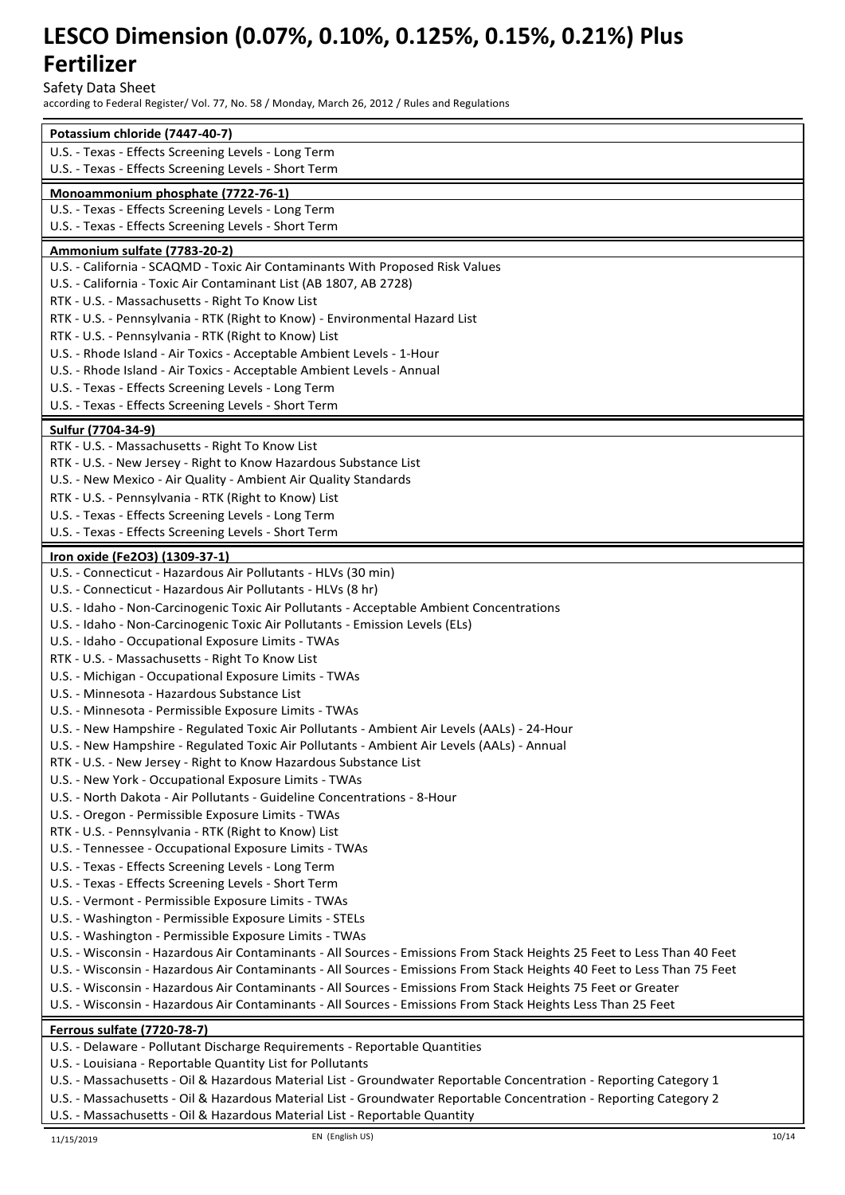Safety Data Sheet

according to Federal Register/ Vol. 77, No. 58 / Monday, March 26, 2012 / Rules and Regulations

| Potassium chloride (7447-40-7)                                                                                          |
|-------------------------------------------------------------------------------------------------------------------------|
| U.S. - Texas - Effects Screening Levels - Long Term                                                                     |
| U.S. - Texas - Effects Screening Levels - Short Term                                                                    |
| Monoammonium phosphate (7722-76-1)                                                                                      |
| U.S. - Texas - Effects Screening Levels - Long Term                                                                     |
| U.S. - Texas - Effects Screening Levels - Short Term                                                                    |
|                                                                                                                         |
| Ammonium sulfate (7783-20-2)<br>U.S. - California - SCAQMD - Toxic Air Contaminants With Proposed Risk Values           |
| U.S. - California - Toxic Air Contaminant List (AB 1807, AB 2728)                                                       |
|                                                                                                                         |
| RTK - U.S. - Massachusetts - Right To Know List                                                                         |
| RTK - U.S. - Pennsylvania - RTK (Right to Know) - Environmental Hazard List                                             |
| RTK - U.S. - Pennsylvania - RTK (Right to Know) List                                                                    |
| U.S. - Rhode Island - Air Toxics - Acceptable Ambient Levels - 1-Hour                                                   |
| U.S. - Rhode Island - Air Toxics - Acceptable Ambient Levels - Annual                                                   |
| U.S. - Texas - Effects Screening Levels - Long Term                                                                     |
| U.S. - Texas - Effects Screening Levels - Short Term                                                                    |
| Sulfur (7704-34-9)                                                                                                      |
| RTK - U.S. - Massachusetts - Right To Know List                                                                         |
| RTK - U.S. - New Jersey - Right to Know Hazardous Substance List                                                        |
| U.S. - New Mexico - Air Quality - Ambient Air Quality Standards                                                         |
| RTK - U.S. - Pennsylvania - RTK (Right to Know) List                                                                    |
| U.S. - Texas - Effects Screening Levels - Long Term                                                                     |
| U.S. - Texas - Effects Screening Levels - Short Term                                                                    |
| Iron oxide (Fe2O3) (1309-37-1)                                                                                          |
| U.S. - Connecticut - Hazardous Air Pollutants - HLVs (30 min)                                                           |
| U.S. - Connecticut - Hazardous Air Pollutants - HLVs (8 hr)                                                             |
| U.S. - Idaho - Non-Carcinogenic Toxic Air Pollutants - Acceptable Ambient Concentrations                                |
| U.S. - Idaho - Non-Carcinogenic Toxic Air Pollutants - Emission Levels (ELs)                                            |
| U.S. - Idaho - Occupational Exposure Limits - TWAs                                                                      |
| RTK - U.S. - Massachusetts - Right To Know List                                                                         |
| U.S. - Michigan - Occupational Exposure Limits - TWAs                                                                   |
| U.S. - Minnesota - Hazardous Substance List                                                                             |
| U.S. - Minnesota - Permissible Exposure Limits - TWAs                                                                   |
| U.S. - New Hampshire - Regulated Toxic Air Pollutants - Ambient Air Levels (AALs) - 24-Hour                             |
| U.S. - New Hampshire - Regulated Toxic Air Pollutants - Ambient Air Levels (AALs) - Annual                              |
| RTK - U.S. - New Jersey - Right to Know Hazardous Substance List                                                        |
| U.S. - New York - Occupational Exposure Limits - TWAs                                                                   |
| U.S. - North Dakota - Air Pollutants - Guideline Concentrations - 8-Hour                                                |
| U.S. - Oregon - Permissible Exposure Limits - TWAs                                                                      |
| RTK - U.S. - Pennsylvania - RTK (Right to Know) List                                                                    |
| U.S. - Tennessee - Occupational Exposure Limits - TWAs                                                                  |
| U.S. - Texas - Effects Screening Levels - Long Term                                                                     |
| U.S. - Texas - Effects Screening Levels - Short Term                                                                    |
| U.S. - Vermont - Permissible Exposure Limits - TWAs                                                                     |
| U.S. - Washington - Permissible Exposure Limits - STELs                                                                 |
| U.S. - Washington - Permissible Exposure Limits - TWAs                                                                  |
| U.S. - Wisconsin - Hazardous Air Contaminants - All Sources - Emissions From Stack Heights 25 Feet to Less Than 40 Feet |
| U.S. - Wisconsin - Hazardous Air Contaminants - All Sources - Emissions From Stack Heights 40 Feet to Less Than 75 Feet |
| U.S. - Wisconsin - Hazardous Air Contaminants - All Sources - Emissions From Stack Heights 75 Feet or Greater           |
| U.S. - Wisconsin - Hazardous Air Contaminants - All Sources - Emissions From Stack Heights Less Than 25 Feet            |
|                                                                                                                         |
| <u>Ferrous sulfate (7720-78-7)</u><br>U.S. - Delaware - Pollutant Discharge Requirements - Reportable Quantities        |
| U.S. - Louisiana - Reportable Quantity List for Pollutants                                                              |
| U.S. - Massachusetts - Oil & Hazardous Material List - Groundwater Reportable Concentration - Reporting Category 1      |
| U.S. - Massachusetts - Oil & Hazardous Material List - Groundwater Reportable Concentration - Reporting Category 2      |
|                                                                                                                         |

U.S. - Massachusetts - Oil & Hazardous Material List - Reportable Quantity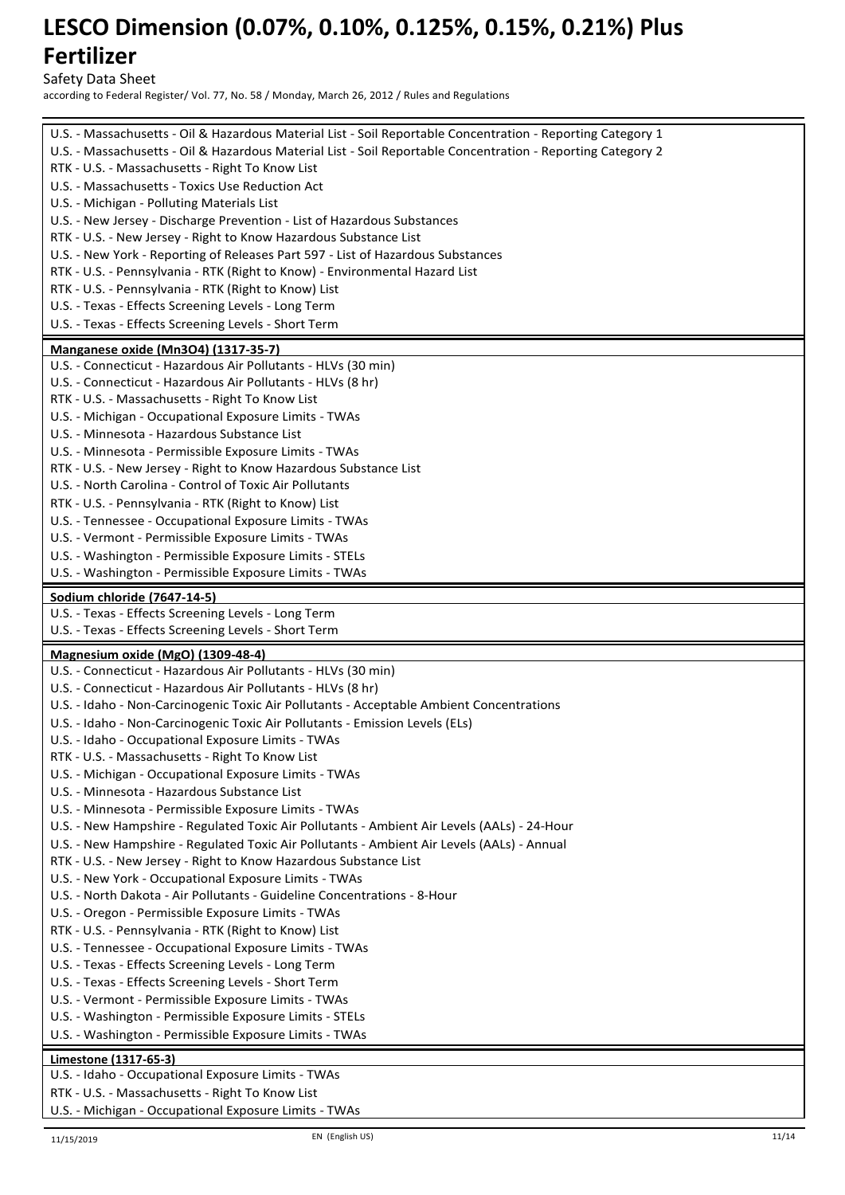Safety Data Sheet

according to Federal Register/ Vol. 77, No. 58 / Monday, March 26, 2012 / Rules and Regulations

| U.S. - Massachusetts - Oil & Hazardous Material List - Soil Reportable Concentration - Reporting Category 1                         |
|-------------------------------------------------------------------------------------------------------------------------------------|
| U.S. - Massachusetts - Oil & Hazardous Material List - Soil Reportable Concentration - Reporting Category 2                         |
| RTK - U.S. - Massachusetts - Right To Know List                                                                                     |
| U.S. - Massachusetts - Toxics Use Reduction Act                                                                                     |
| U.S. - Michigan - Polluting Materials List                                                                                          |
| U.S. - New Jersey - Discharge Prevention - List of Hazardous Substances                                                             |
| RTK - U.S. - New Jersey - Right to Know Hazardous Substance List                                                                    |
| U.S. - New York - Reporting of Releases Part 597 - List of Hazardous Substances                                                     |
| RTK - U.S. - Pennsylvania - RTK (Right to Know) - Environmental Hazard List<br>RTK - U.S. - Pennsylvania - RTK (Right to Know) List |
| U.S. - Texas - Effects Screening Levels - Long Term                                                                                 |
| U.S. - Texas - Effects Screening Levels - Short Term                                                                                |
|                                                                                                                                     |
| <b>Manganese oxide (Mn3O4) (1317-35-7)</b>                                                                                          |
| U.S. - Connecticut - Hazardous Air Pollutants - HLVs (30 min)                                                                       |
| U.S. - Connecticut - Hazardous Air Pollutants - HLVs (8 hr)                                                                         |
| RTK - U.S. - Massachusetts - Right To Know List<br>U.S. - Michigan - Occupational Exposure Limits - TWAs                            |
| U.S. - Minnesota - Hazardous Substance List                                                                                         |
| U.S. - Minnesota - Permissible Exposure Limits - TWAs                                                                               |
| RTK - U.S. - New Jersey - Right to Know Hazardous Substance List                                                                    |
| U.S. - North Carolina - Control of Toxic Air Pollutants                                                                             |
| RTK - U.S. - Pennsylvania - RTK (Right to Know) List                                                                                |
| U.S. - Tennessee - Occupational Exposure Limits - TWAs                                                                              |
| U.S. - Vermont - Permissible Exposure Limits - TWAs                                                                                 |
| U.S. - Washington - Permissible Exposure Limits - STELs                                                                             |
| U.S. - Washington - Permissible Exposure Limits - TWAs                                                                              |
|                                                                                                                                     |
| Sodium chloride (7647-14-5)<br>U.S. - Texas - Effects Screening Levels - Long Term                                                  |
|                                                                                                                                     |
|                                                                                                                                     |
| U.S. - Texas - Effects Screening Levels - Short Term                                                                                |
| Magnesium oxide (MgO) (1309-48-4)                                                                                                   |
| U.S. - Connecticut - Hazardous Air Pollutants - HLVs (30 min)                                                                       |
| U.S. - Connecticut - Hazardous Air Pollutants - HLVs (8 hr)                                                                         |
| U.S. - Idaho - Non-Carcinogenic Toxic Air Pollutants - Acceptable Ambient Concentrations                                            |
| U.S. - Idaho - Non-Carcinogenic Toxic Air Pollutants - Emission Levels (ELs)                                                        |
| U.S. - Idaho - Occupational Exposure Limits - TWAs                                                                                  |
| RTK - U.S. - Massachusetts - Right To Know List                                                                                     |
| U.S. - Michigan - Occupational Exposure Limits - TWAs                                                                               |
| U.S. - Minnesota - Hazardous Substance List                                                                                         |
| U.S. - Minnesota - Permissible Exposure Limits - TWAs                                                                               |
| U.S. - New Hampshire - Regulated Toxic Air Pollutants - Ambient Air Levels (AALs) - 24-Hour                                         |
| U.S. - New Hampshire - Regulated Toxic Air Pollutants - Ambient Air Levels (AALs) - Annual                                          |
| RTK - U.S. - New Jersey - Right to Know Hazardous Substance List                                                                    |
| U.S. - New York - Occupational Exposure Limits - TWAs<br>U.S. - North Dakota - Air Pollutants - Guideline Concentrations - 8-Hour   |
| U.S. - Oregon - Permissible Exposure Limits - TWAs                                                                                  |
| RTK - U.S. - Pennsylvania - RTK (Right to Know) List                                                                                |
| U.S. - Tennessee - Occupational Exposure Limits - TWAs                                                                              |
| U.S. - Texas - Effects Screening Levels - Long Term                                                                                 |
| U.S. - Texas - Effects Screening Levels - Short Term                                                                                |
| U.S. - Vermont - Permissible Exposure Limits - TWAs                                                                                 |
| U.S. - Washington - Permissible Exposure Limits - STELs                                                                             |
| U.S. - Washington - Permissible Exposure Limits - TWAs                                                                              |
|                                                                                                                                     |
| Limestone (1317-65-3)<br>U.S. - Idaho - Occupational Exposure Limits - TWAs                                                         |
| RTK - U.S. - Massachusetts - Right To Know List                                                                                     |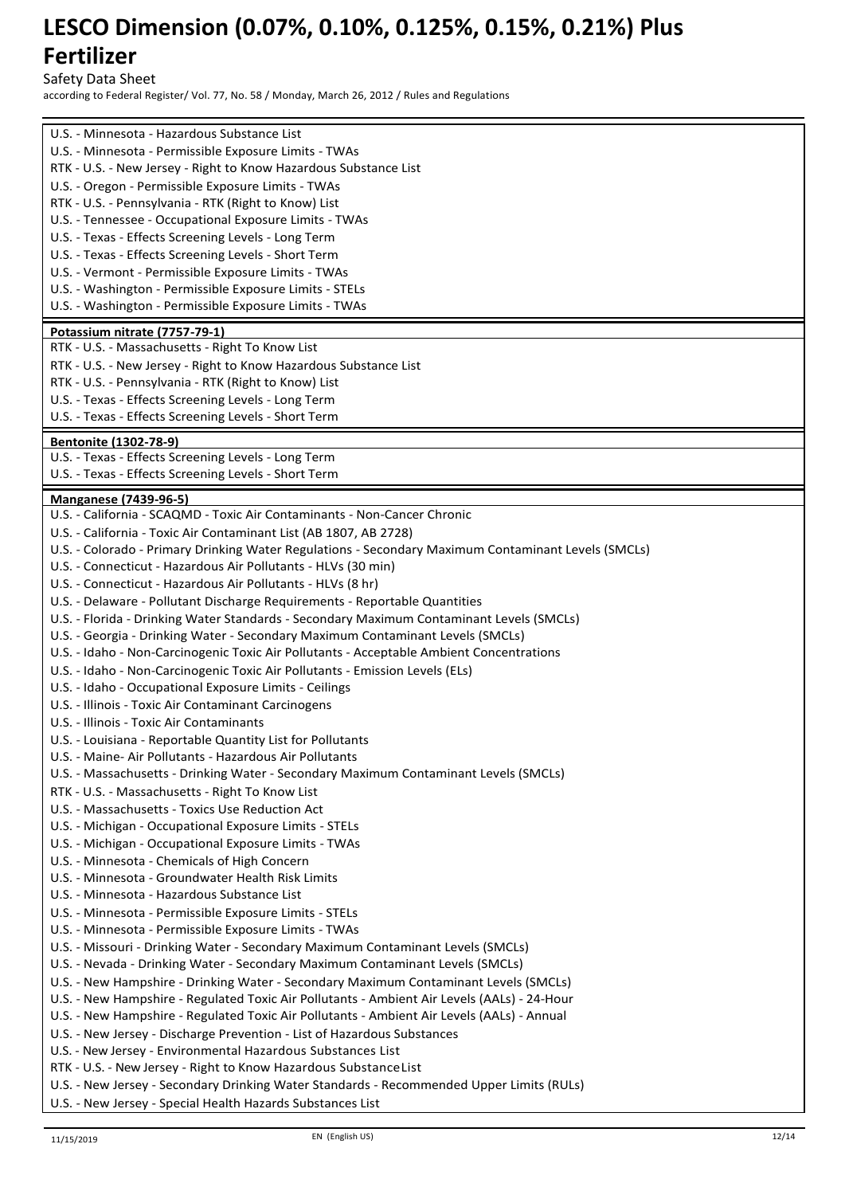Safety Data Sheet

according to Federal Register/ Vol. 77, No. 58 / Monday, March 26, 2012 / Rules and Regulations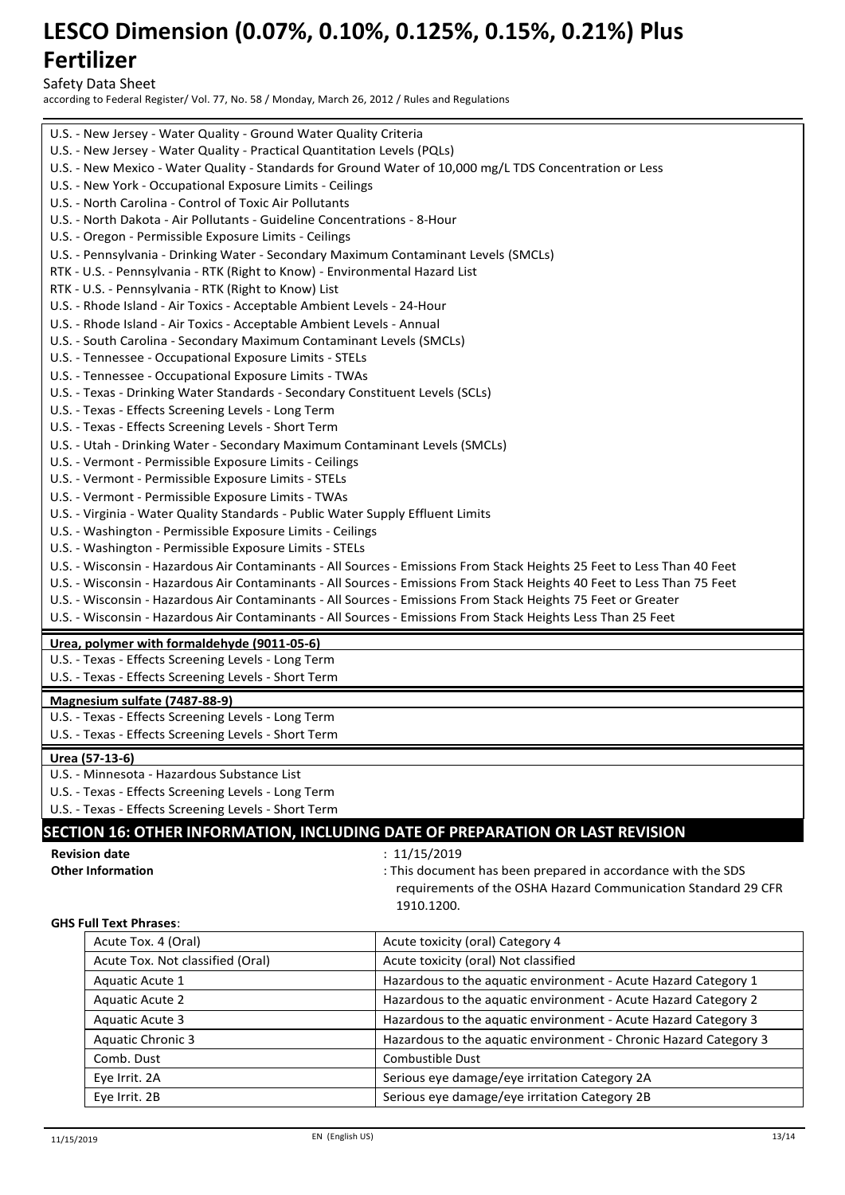Safety Data Sheet

according to Federal Register/ Vol. 77, No. 58 / Monday, March 26, 2012 / Rules and Regulations

|                                                                                                                                     | U.S. - New Jersey - Water Quality - Ground Water Quality Criteria |                                                                                                                         |  |  |  |  |
|-------------------------------------------------------------------------------------------------------------------------------------|-------------------------------------------------------------------|-------------------------------------------------------------------------------------------------------------------------|--|--|--|--|
| U.S. - New Jersey - Water Quality - Practical Quantitation Levels (PQLs)                                                            |                                                                   |                                                                                                                         |  |  |  |  |
| U.S. - New Mexico - Water Quality - Standards for Ground Water of 10,000 mg/L TDS Concentration or Less                             |                                                                   |                                                                                                                         |  |  |  |  |
| U.S. - New York - Occupational Exposure Limits - Ceilings                                                                           |                                                                   |                                                                                                                         |  |  |  |  |
| U.S. - North Carolina - Control of Toxic Air Pollutants                                                                             |                                                                   |                                                                                                                         |  |  |  |  |
| U.S. - North Dakota - Air Pollutants - Guideline Concentrations - 8-Hour                                                            |                                                                   |                                                                                                                         |  |  |  |  |
| U.S. - Oregon - Permissible Exposure Limits - Ceilings                                                                              |                                                                   |                                                                                                                         |  |  |  |  |
| U.S. - Pennsylvania - Drinking Water - Secondary Maximum Contaminant Levels (SMCLs)                                                 |                                                                   |                                                                                                                         |  |  |  |  |
| RTK - U.S. - Pennsylvania - RTK (Right to Know) - Environmental Hazard List<br>RTK - U.S. - Pennsylvania - RTK (Right to Know) List |                                                                   |                                                                                                                         |  |  |  |  |
| U.S. - Rhode Island - Air Toxics - Acceptable Ambient Levels - 24-Hour                                                              |                                                                   |                                                                                                                         |  |  |  |  |
| U.S. - Rhode Island - Air Toxics - Acceptable Ambient Levels - Annual                                                               |                                                                   |                                                                                                                         |  |  |  |  |
| U.S. - South Carolina - Secondary Maximum Contaminant Levels (SMCLs)                                                                |                                                                   |                                                                                                                         |  |  |  |  |
| U.S. - Tennessee - Occupational Exposure Limits - STELs                                                                             |                                                                   |                                                                                                                         |  |  |  |  |
| U.S. - Tennessee - Occupational Exposure Limits - TWAs                                                                              |                                                                   |                                                                                                                         |  |  |  |  |
| U.S. - Texas - Drinking Water Standards - Secondary Constituent Levels (SCLs)                                                       |                                                                   |                                                                                                                         |  |  |  |  |
| U.S. - Texas - Effects Screening Levels - Long Term                                                                                 |                                                                   |                                                                                                                         |  |  |  |  |
| U.S. - Texas - Effects Screening Levels - Short Term                                                                                |                                                                   |                                                                                                                         |  |  |  |  |
| U.S. - Utah - Drinking Water - Secondary Maximum Contaminant Levels (SMCLs)                                                         |                                                                   |                                                                                                                         |  |  |  |  |
| U.S. - Vermont - Permissible Exposure Limits - Ceilings                                                                             |                                                                   |                                                                                                                         |  |  |  |  |
| U.S. - Vermont - Permissible Exposure Limits - STELs                                                                                |                                                                   |                                                                                                                         |  |  |  |  |
| U.S. - Vermont - Permissible Exposure Limits - TWAs                                                                                 |                                                                   |                                                                                                                         |  |  |  |  |
| U.S. - Virginia - Water Quality Standards - Public Water Supply Effluent Limits                                                     |                                                                   |                                                                                                                         |  |  |  |  |
| U.S. - Washington - Permissible Exposure Limits - Ceilings                                                                          |                                                                   |                                                                                                                         |  |  |  |  |
| U.S. - Washington - Permissible Exposure Limits - STELs                                                                             |                                                                   |                                                                                                                         |  |  |  |  |
|                                                                                                                                     |                                                                   | U.S. - Wisconsin - Hazardous Air Contaminants - All Sources - Emissions From Stack Heights 25 Feet to Less Than 40 Feet |  |  |  |  |
|                                                                                                                                     |                                                                   | U.S. - Wisconsin - Hazardous Air Contaminants - All Sources - Emissions From Stack Heights 40 Feet to Less Than 75 Feet |  |  |  |  |
|                                                                                                                                     |                                                                   | U.S. - Wisconsin - Hazardous Air Contaminants - All Sources - Emissions From Stack Heights 75 Feet or Greater           |  |  |  |  |
|                                                                                                                                     |                                                                   | U.S. - Wisconsin - Hazardous Air Contaminants - All Sources - Emissions From Stack Heights Less Than 25 Feet            |  |  |  |  |
| Urea, polymer with formaldehyde (9011-05-6)                                                                                         |                                                                   |                                                                                                                         |  |  |  |  |
| U.S. - Texas - Effects Screening Levels - Long Term                                                                                 |                                                                   |                                                                                                                         |  |  |  |  |
| U.S. - Texas - Effects Screening Levels - Short Term                                                                                |                                                                   |                                                                                                                         |  |  |  |  |
| Magnesium sulfate (7487-88-9)                                                                                                       |                                                                   |                                                                                                                         |  |  |  |  |
| U.S. - Texas - Effects Screening Levels - Long Term                                                                                 |                                                                   |                                                                                                                         |  |  |  |  |
| U.S. - Texas - Effects Screening Levels - Short Term                                                                                |                                                                   |                                                                                                                         |  |  |  |  |
| Urea (57-13-6)                                                                                                                      |                                                                   |                                                                                                                         |  |  |  |  |
| U.S. - Minnesota - Hazardous Substance List                                                                                         |                                                                   |                                                                                                                         |  |  |  |  |
| U.S. - Texas - Effects Screening Levels - Long Term                                                                                 |                                                                   |                                                                                                                         |  |  |  |  |
| U.S. - Texas - Effects Screening Levels - Short Term                                                                                |                                                                   |                                                                                                                         |  |  |  |  |
|                                                                                                                                     |                                                                   | SECTION 16: OTHER INFORMATION, INCLUDING DATE OF PREPARATION OR LAST REVISION                                           |  |  |  |  |
| <b>Revision date</b>                                                                                                                |                                                                   | : 11/15/2019                                                                                                            |  |  |  |  |
| <b>Other Information</b>                                                                                                            |                                                                   | : This document has been prepared in accordance with the SDS                                                            |  |  |  |  |
|                                                                                                                                     |                                                                   | requirements of the OSHA Hazard Communication Standard 29 CFR                                                           |  |  |  |  |
|                                                                                                                                     |                                                                   | 1910.1200.                                                                                                              |  |  |  |  |
| <b>GHS Full Text Phrases:</b>                                                                                                       |                                                                   |                                                                                                                         |  |  |  |  |
| Acute Tox. 4 (Oral)                                                                                                                 |                                                                   | Acute toxicity (oral) Category 4                                                                                        |  |  |  |  |
| Acute Tox. Not classified (Oral)                                                                                                    |                                                                   | Acute toxicity (oral) Not classified                                                                                    |  |  |  |  |
| Aquatic Acute 1                                                                                                                     |                                                                   | Hazardous to the aquatic environment - Acute Hazard Category 1                                                          |  |  |  |  |
| <b>Aquatic Acute 2</b>                                                                                                              |                                                                   | Hazardous to the aquatic environment - Acute Hazard Category 2                                                          |  |  |  |  |
| Aquatic Acute 3                                                                                                                     |                                                                   | Hazardous to the aquatic environment - Acute Hazard Category 3                                                          |  |  |  |  |
| <b>Aquatic Chronic 3</b>                                                                                                            |                                                                   | Hazardous to the aquatic environment - Chronic Hazard Category 3                                                        |  |  |  |  |

Comb. Dust Combustible Dust